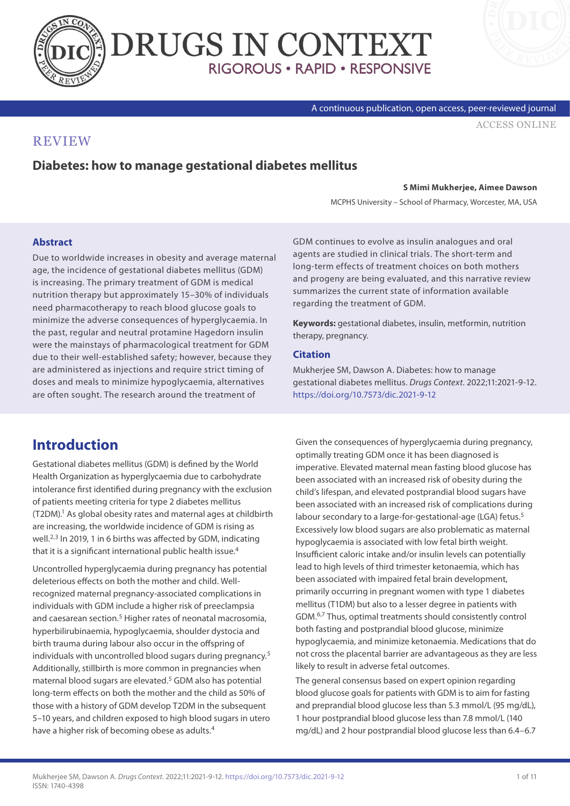



[ACCESS ONLINE](https://www.drugsincontext.com/diabetes-how-to-manage-gestational-diabetes-mellitus)

A continuous publication, open access, peer-reviewed journal

## **REVIEW**

## **Diabetes: how to manage gestational diabetes mellitus**

#### **S Mimi Mukherjee, Aimee Dawson**

MCPHS University – School of Pharmacy, Worcester, MA, USA

## **Abstract**

Due to worldwide increases in obesity and average maternal age, the incidence of gestational diabetes mellitus (GDM) is increasing. The primary treatment of GDM is medical nutrition therapy but approximately 15–30% of individuals need pharmacotherapy to reach blood glucose goals to minimize the adverse consequences of hyperglycaemia. In the past, regular and neutral protamine Hagedorn insulin were the mainstays of pharmacological treatment for GDM due to their well-established safety; however, because they are administered as injections and require strict timing of doses and meals to minimize hypoglycaemia, alternatives are often sought. The research around the treatment of

GDM continues to evolve as insulin analogues and oral agents are studied in clinical trials. The short-term and long-term effects of treatment choices on both mothers and progeny are being evaluated, and this narrative review summarizes the current state of information available regarding the treatment of GDM.

**Keywords:** gestational diabetes, insulin, metformin, nutrition therapy, pregnancy.

#### **Citation**

Mukherjee SM, Dawson A. Diabetes: how to manage gestational diabetes mellitus. *Drugs Context*. 2022;11:2021-9-12. <https://doi.org/10.7573/dic.2021-9-12>

# **Introduction**

Gestational diabetes mellitus (GDM) is defined by the World Health Organization as hyperglycaemia due to carbohydrate intolerance first identified during pregnancy with the exclusion of patients meeting criteria for type 2 diabetes mellitus (T2DM).1 As global obesity rates and maternal ages at childbirth are increasing, the worldwide incidence of GDM is rising as well.<sup>2,3</sup> In 2019, 1 in 6 births was affected by GDM, indicating that it is a significant international public health issue.<sup>4</sup>

Uncontrolled hyperglycaemia during pregnancy has potential deleterious effects on both the mother and child. Wellrecognized maternal pregnancy-associated complications in individuals with GDM include a higher risk of preeclampsia and caesarean section.<sup>5</sup> Higher rates of neonatal macrosomia, hyperbilirubinaemia, hypoglycaemia, shoulder dystocia and birth trauma during labour also occur in the offspring of individuals with uncontrolled blood sugars during pregnancy.5 Additionally, stillbirth is more common in pregnancies when maternal blood sugars are elevated.5 GDM also has potential long-term effects on both the mother and the child as 50% of those with a history of GDM develop T2DM in the subsequent 5–10 years, and children exposed to high blood sugars in utero have a higher risk of becoming obese as adults.4

Given the consequences of hyperglycaemia during pregnancy, optimally treating GDM once it has been diagnosed is imperative. Elevated maternal mean fasting blood glucose has been associated with an increased risk of obesity during the child's lifespan, and elevated postprandial blood sugars have been associated with an increased risk of complications during labour secondary to a large-for-gestational-age (LGA) fetus.<sup>5</sup> Excessively low blood sugars are also problematic as maternal hypoglycaemia is associated with low fetal birth weight. Insufficient caloric intake and/or insulin levels can potentially lead to high levels of third trimester ketonaemia, which has been associated with impaired fetal brain development, primarily occurring in pregnant women with type 1 diabetes mellitus (T1DM) but also to a lesser degree in patients with GDM.6,7 Thus, optimal treatments should consistently control both fasting and postprandial blood glucose, minimize hypoglycaemia, and minimize ketonaemia. Medications that do not cross the placental barrier are advantageous as they are less likely to result in adverse fetal outcomes.

The general consensus based on expert opinion regarding blood glucose goals for patients with GDM is to aim for fasting and preprandial blood glucose less than 5.3 mmol/L (95 mg/dL), 1 hour postprandial blood glucose less than 7.8 mmol/L (140 mg/dL) and 2 hour postprandial blood glucose less than 6.4–6.7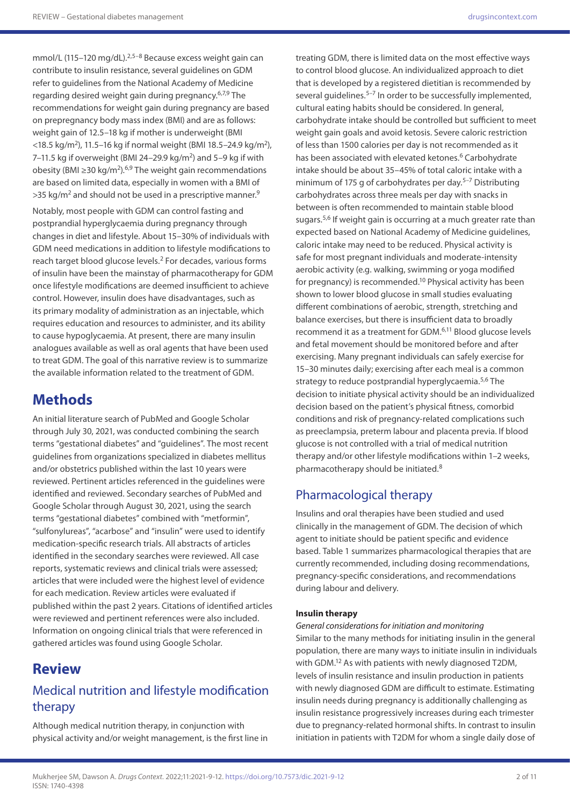mmol/L (115-120 mg/dL).<sup>2,5-8</sup> Because excess weight gain can contribute to insulin resistance, several guidelines on GDM refer to guidelines from the National Academy of Medicine regarding desired weight gain during pregnancy.<sup>6,7,9</sup> The recommendations for weight gain during pregnancy are based on prepregnancy body mass index (BMI) and are as follows: weight gain of 12.5–18 kg if mother is underweight (BMI  $<$ 18.5 kg/m<sup>2</sup>), 11.5–16 kg if normal weight (BMI 18.5–24.9 kg/m<sup>2</sup>), 7–11.5 kg if overweight (BMI 24–29.9 kg/m<sup>2</sup>) and 5–9 kg if with obesity (BMI ≥30 kg/m2).6,9 The weight gain recommendations are based on limited data, especially in women with a BMI of  $>$ 35 kg/m<sup>2</sup> and should not be used in a prescriptive manner.<sup>9</sup>

Notably, most people with GDM can control fasting and postprandial hyperglycaemia during pregnancy through changes in diet and lifestyle. About 15–30% of individuals with GDM need medications in addition to lifestyle modifications to reach target blood glucose levels.2 For decades, various forms of insulin have been the mainstay of pharmacotherapy for GDM once lifestyle modifications are deemed insufficient to achieve control. However, insulin does have disadvantages, such as its primary modality of administration as an injectable, which requires education and resources to administer, and its ability to cause hypoglycaemia. At present, there are many insulin analogues available as well as oral agents that have been used to treat GDM. The goal of this narrative review is to summarize the available information related to the treatment of GDM.

# **Methods**

An initial literature search of PubMed and Google Scholar through July 30, 2021, was conducted combining the search terms "gestational diabetes" and "guidelines". The most recent guidelines from organizations specialized in diabetes mellitus and/or obstetrics published within the last 10 years were reviewed. Pertinent articles referenced in the guidelines were identified and reviewed. Secondary searches of PubMed and Google Scholar through August 30, 2021, using the search terms "gestational diabetes" combined with "metformin", "sulfonylureas", "acarbose" and "insulin" were used to identify medication-specific research trials. All abstracts of articles identified in the secondary searches were reviewed. All case reports, systematic reviews and clinical trials were assessed; articles that were included were the highest level of evidence for each medication. Review articles were evaluated if published within the past 2 years. Citations of identified articles were reviewed and pertinent references were also included. Information on ongoing clinical trials that were referenced in gathered articles was found using Google Scholar.

## **Review**

# Medical nutrition and lifestyle modification therapy

Although medical nutrition therapy, in conjunction with physical activity and/or weight management, is the first line in

treating GDM, there is limited data on the most effective ways to control blood glucose. An individualized approach to diet that is developed by a registered dietitian is recommended by several quidelines.<sup>5-7</sup> In order to be successfully implemented, cultural eating habits should be considered. In general, carbohydrate intake should be controlled but sufficient to meet weight gain goals and avoid ketosis. Severe caloric restriction of less than 1500 calories per day is not recommended as it has been associated with elevated ketones.<sup>6</sup> Carbohydrate intake should be about 35–45% of total caloric intake with a minimum of 175 g of carbohydrates per day.<sup>5-7</sup> Distributing carbohydrates across three meals per day with snacks in between is often recommended to maintain stable blood sugars.<sup>5,6</sup> If weight gain is occurring at a much greater rate than expected based on National Academy of Medicine guidelines, caloric intake may need to be reduced. Physical activity is safe for most pregnant individuals and moderate-intensity aerobic activity (e.g. walking, swimming or yoga modified for pregnancy) is recommended.10 Physical activity has been shown to lower blood glucose in small studies evaluating different combinations of aerobic, strength, stretching and balance exercises, but there is insufficient data to broadly recommend it as a treatment for GDM.6,11 Blood glucose levels and fetal movement should be monitored before and after exercising. Many pregnant individuals can safely exercise for 15–30 minutes daily; exercising after each meal is a common strategy to reduce postprandial hyperglycaemia.5,6 The decision to initiate physical activity should be an individualized decision based on the patient's physical fitness, comorbid conditions and risk of pregnancy-related complications such as preeclampsia, preterm labour and placenta previa. If blood glucose is not controlled with a trial of medical nutrition therapy and/or other lifestyle modifications within 1–2 weeks, pharmacotherapy should be initiated.8

## Pharmacological therapy

Insulins and oral therapies have been studied and used clinically in the management of GDM. The decision of which agent to initiate should be patient specific and evidence based. Table 1 summarizes pharmacological therapies that are currently recommended, including dosing recommendations, pregnancy-specific considerations, and recommendations during labour and delivery.

#### **Insulin therapy**

### *General considerations for initiation and monitoring*

Similar to the many methods for initiating insulin in the general population, there are many ways to initiate insulin in individuals with GDM.12 As with patients with newly diagnosed T2DM, levels of insulin resistance and insulin production in patients with newly diagnosed GDM are difficult to estimate. Estimating insulin needs during pregnancy is additionally challenging as insulin resistance progressively increases during each trimester due to pregnancy-related hormonal shifts. In contrast to insulin initiation in patients with T2DM for whom a single daily dose of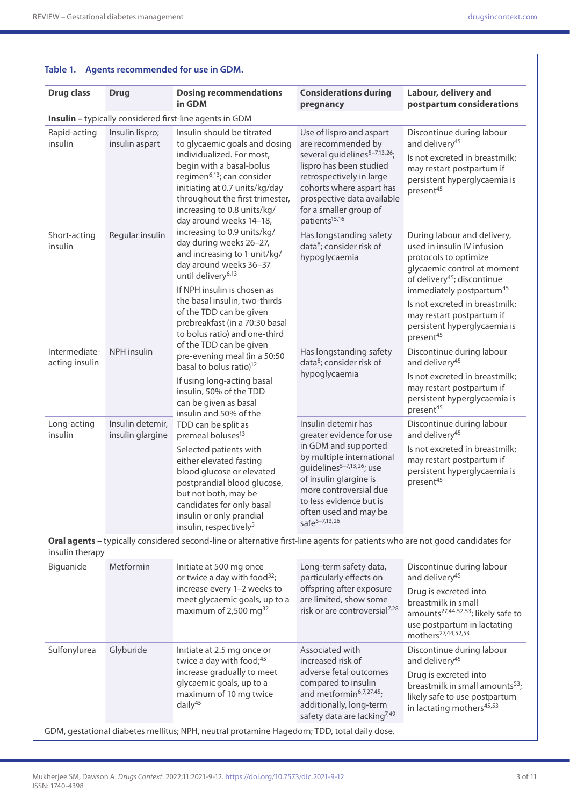| <b>Drug class</b>               | <b>Drug</b>                          | <b>Dosing recommendations</b><br>in GDM                                                                                                                                                                                                                                                                                                                                                                                                                                                                                                                                                                                                                                                                                                                                                                                                                                                                                                                                                                                                                                                                                         | <b>Considerations during</b><br>pregnancy                                                                                                                                                                                                                                   | Labour, delivery and<br>postpartum considerations                                                                                                                                                                                                                                                                             |
|---------------------------------|--------------------------------------|---------------------------------------------------------------------------------------------------------------------------------------------------------------------------------------------------------------------------------------------------------------------------------------------------------------------------------------------------------------------------------------------------------------------------------------------------------------------------------------------------------------------------------------------------------------------------------------------------------------------------------------------------------------------------------------------------------------------------------------------------------------------------------------------------------------------------------------------------------------------------------------------------------------------------------------------------------------------------------------------------------------------------------------------------------------------------------------------------------------------------------|-----------------------------------------------------------------------------------------------------------------------------------------------------------------------------------------------------------------------------------------------------------------------------|-------------------------------------------------------------------------------------------------------------------------------------------------------------------------------------------------------------------------------------------------------------------------------------------------------------------------------|
|                                 |                                      | Insulin - typically considered first-line agents in GDM                                                                                                                                                                                                                                                                                                                                                                                                                                                                                                                                                                                                                                                                                                                                                                                                                                                                                                                                                                                                                                                                         |                                                                                                                                                                                                                                                                             |                                                                                                                                                                                                                                                                                                                               |
| Rapid-acting<br>insulin         | Insulin lispro;<br>insulin aspart    | Insulin should be titrated<br>to glycaemic goals and dosing<br>individualized. For most,<br>begin with a basal-bolus<br>regimen <sup>6,13</sup> ; can consider<br>initiating at 0.7 units/kg/day<br>throughout the first trimester,<br>increasing to 0.8 units/kg/<br>day around weeks 14-18,<br>increasing to 0.9 units/kg/<br>day during weeks 26-27,<br>and increasing to 1 unit/kg/<br>day around weeks 36-37<br>until delivery <sup>6,13</sup><br>If NPH insulin is chosen as<br>the basal insulin, two-thirds<br>of the TDD can be given<br>prebreakfast (in a 70:30 basal<br>to bolus ratio) and one-third<br>of the TDD can be given<br>pre-evening meal (in a 50:50<br>basal to bolus ratio) <sup>12</sup><br>If using long-acting basal<br>insulin, 50% of the TDD<br>can be given as basal<br>insulin and 50% of the<br>TDD can be split as<br>premeal boluses <sup>13</sup><br>Selected patients with<br>either elevated fasting<br>blood glucose or elevated<br>postprandial blood glucose,<br>but not both, may be<br>candidates for only basal<br>insulin or only prandial<br>insulin, respectively <sup>5</sup> | Use of lispro and aspart<br>are recommended by<br>several guidelines <sup>5-7,13,26</sup> ;<br>lispro has been studied<br>retrospectively in large<br>cohorts where aspart has<br>prospective data available<br>for a smaller group of<br>patients <sup>15,16</sup>         | Discontinue during labour<br>and delivery <sup>45</sup><br>Is not excreted in breastmilk;<br>may restart postpartum if<br>persistent hyperglycaemia is<br>present <sup>45</sup>                                                                                                                                               |
| Short-acting<br>insulin         | Regular insulin                      |                                                                                                                                                                                                                                                                                                                                                                                                                                                                                                                                                                                                                                                                                                                                                                                                                                                                                                                                                                                                                                                                                                                                 | Has longstanding safety<br>data <sup>8</sup> ; consider risk of<br>hypoglycaemia                                                                                                                                                                                            | During labour and delivery,<br>used in insulin IV infusion<br>protocols to optimize<br>glycaemic control at moment<br>of delivery <sup>45</sup> ; discontinue<br>immediately postpartum <sup>45</sup><br>Is not excreted in breastmilk;<br>may restart postpartum if<br>persistent hyperglycaemia is<br>present <sup>45</sup> |
| Intermediate-<br>acting insulin | NPH insulin                          |                                                                                                                                                                                                                                                                                                                                                                                                                                                                                                                                                                                                                                                                                                                                                                                                                                                                                                                                                                                                                                                                                                                                 | Has longstanding safety<br>data <sup>8</sup> ; consider risk of<br>hypoglycaemia                                                                                                                                                                                            | Discontinue during labour<br>and delivery <sup>45</sup><br>Is not excreted in breastmilk;<br>may restart postpartum if<br>persistent hyperglycaemia is<br>present <sup>45</sup>                                                                                                                                               |
| Long-acting<br>insulin          | Insulin detemir,<br>insulin glargine |                                                                                                                                                                                                                                                                                                                                                                                                                                                                                                                                                                                                                                                                                                                                                                                                                                                                                                                                                                                                                                                                                                                                 | Insulin detemir has<br>greater evidence for use<br>in GDM and supported<br>by multiple international<br>guidelines <sup>5-7,13,26</sup> ; use<br>of insulin glargine is<br>more controversial due<br>to less evidence but is<br>often used and may be<br>$safe^{5-7,13,26}$ | Discontinue during labour<br>and delivery <sup>45</sup><br>Is not excreted in breastmilk;<br>may restart postpartum if<br>persistent hyperglycaemia is<br>present <sup>45</sup>                                                                                                                                               |

## **Table 1. Agents recommended for use in GDM.**

**Oral agents –** typically considered second-line or alternative first-line agents for patients who are not good candidates for State<br>insulin therapy

| Biguanide    | Metformin | Initiate at 500 mg once<br>or twice a day with food <sup>32</sup> ;<br>increase every 1-2 weeks to<br>meet glycaemic goals, up to a<br>maximum of 2,500 mg <sup>32</sup>      | Long-term safety data,<br>particularly effects on<br>offspring after exposure<br>are limited, show some<br>risk or are controversial <sup>7,28</sup>                                                | Discontinue during labour<br>and delivery <sup>45</sup><br>Drug is excreted into<br>breastmilk in small<br>amounts <sup>27,44,52,53</sup> ; likely safe to<br>use postpartum in lactating<br>mothers <sup>27,44,52,53</sup> |
|--------------|-----------|-------------------------------------------------------------------------------------------------------------------------------------------------------------------------------|-----------------------------------------------------------------------------------------------------------------------------------------------------------------------------------------------------|-----------------------------------------------------------------------------------------------------------------------------------------------------------------------------------------------------------------------------|
| Sulfonylurea | Glyburide | Initiate at 2.5 mg once or<br>twice a day with food; <sup>45</sup><br>increase gradually to meet<br>glycaemic goals, up to a<br>maximum of 10 mg twice<br>daily <sup>45</sup> | Associated with<br>increased risk of<br>adverse fetal outcomes<br>compared to insulin<br>and metformin <sup>6,7,27,45</sup> ;<br>additionally, long-term<br>safety data are lacking <sup>7,49</sup> | Discontinue during labour<br>and delivery <sup>45</sup><br>Drug is excreted into<br>breastmilk in small amounts <sup>53</sup> ;<br>likely safe to use postpartum<br>in lactating mothers <sup>45,53</sup>                   |

GDM, gestational diabetes mellitus; NPH, neutral protamine Hagedorn; TDD, total daily dose.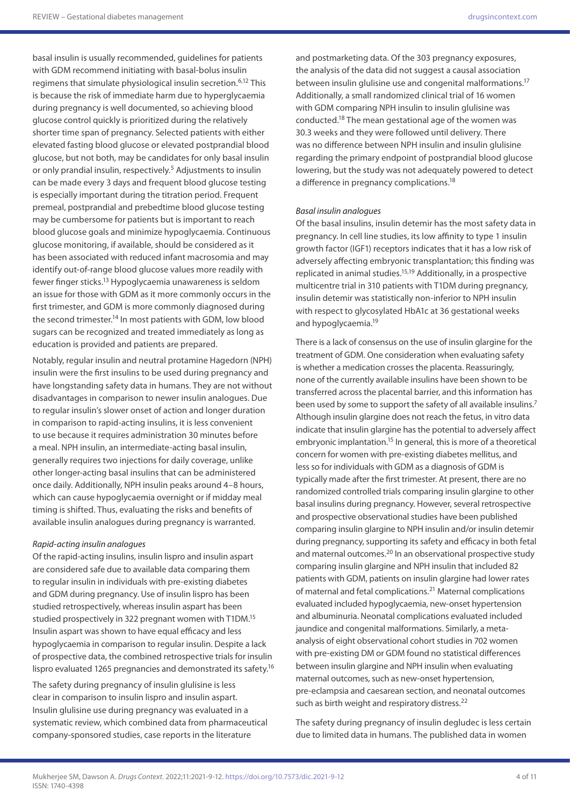basal insulin is usually recommended, guidelines for patients with GDM recommend initiating with basal-bolus insulin regimens that simulate physiological insulin secretion.<sup>6,12</sup> This is because the risk of immediate harm due to hyperglycaemia during pregnancy is well documented, so achieving blood glucose control quickly is prioritized during the relatively shorter time span of pregnancy. Selected patients with either elevated fasting blood glucose or elevated postprandial blood glucose, but not both, may be candidates for only basal insulin or only prandial insulin, respectively.<sup>5</sup> Adjustments to insulin can be made every 3 days and frequent blood glucose testing is especially important during the titration period. Frequent premeal, postprandial and prebedtime blood glucose testing may be cumbersome for patients but is important to reach blood glucose goals and minimize hypoglycaemia. Continuous glucose monitoring, if available, should be considered as it has been associated with reduced infant macrosomia and may identify out-of-range blood glucose values more readily with fewer finger sticks.13 Hypoglycaemia unawareness is seldom an issue for those with GDM as it more commonly occurs in the first trimester, and GDM is more commonly diagnosed during the second trimester.<sup>14</sup> In most patients with GDM, low blood sugars can be recognized and treated immediately as long as education is provided and patients are prepared.

Notably, regular insulin and neutral protamine Hagedorn (NPH) insulin were the first insulins to be used during pregnancy and have longstanding safety data in humans. They are not without disadvantages in comparison to newer insulin analogues. Due to regular insulin's slower onset of action and longer duration in comparison to rapid-acting insulins, it is less convenient to use because it requires administration 30 minutes before a meal. NPH insulin, an intermediate-acting basal insulin, generally requires two injections for daily coverage, unlike other longer-acting basal insulins that can be administered once daily. Additionally, NPH insulin peaks around 4–8 hours, which can cause hypoglycaemia overnight or if midday meal timing is shifted. Thus, evaluating the risks and benefits of available insulin analogues during pregnancy is warranted.

### *Rapid-acting insulin analogues*

Of the rapid-acting insulins, insulin lispro and insulin aspart are considered safe due to available data comparing them to regular insulin in individuals with pre-existing diabetes and GDM during pregnancy. Use of insulin lispro has been studied retrospectively, whereas insulin aspart has been studied prospectively in 322 pregnant women with T1DM.<sup>15</sup> Insulin aspart was shown to have equal efficacy and less hypoglycaemia in comparison to regular insulin. Despite a lack of prospective data, the combined retrospective trials for insulin lispro evaluated 1265 pregnancies and demonstrated its safety.<sup>16</sup>

The safety during pregnancy of insulin glulisine is less clear in comparison to insulin lispro and insulin aspart. Insulin glulisine use during pregnancy was evaluated in a systematic review, which combined data from pharmaceutical company-sponsored studies, case reports in the literature

and postmarketing data. Of the 303 pregnancy exposures, the analysis of the data did not suggest a causal association between insulin glulisine use and congenital malformations.<sup>17</sup> Additionally, a small randomized clinical trial of 16 women with GDM comparing NPH insulin to insulin glulisine was conducted.18 The mean gestational age of the women was 30.3 weeks and they were followed until delivery. There was no difference between NPH insulin and insulin glulisine regarding the primary endpoint of postprandial blood glucose lowering, but the study was not adequately powered to detect a difference in pregnancy complications.<sup>18</sup>

## *Basal insulin analogues*

Of the basal insulins, insulin detemir has the most safety data in pregnancy. In cell line studies, its low affinity to type 1 insulin growth factor (IGF1) receptors indicates that it has a low risk of adversely affecting embryonic transplantation; this finding was replicated in animal studies.15,19 Additionally, in a prospective multicentre trial in 310 patients with T1DM during pregnancy, insulin detemir was statistically non-inferior to NPH insulin with respect to glycosylated HbA1c at 36 gestational weeks and hypoglycaemia.19

There is a lack of consensus on the use of insulin glargine for the treatment of GDM. One consideration when evaluating safety is whether a medication crosses the placenta. Reassuringly, none of the currently available insulins have been shown to be transferred across the placental barrier, and this information has been used by some to support the safety of all available insulins.<sup>7</sup> Although insulin glargine does not reach the fetus, in vitro data indicate that insulin glargine has the potential to adversely affect embryonic implantation.<sup>15</sup> In general, this is more of a theoretical concern for women with pre-existing diabetes mellitus, and less so for individuals with GDM as a diagnosis of GDM is typically made after the first trimester. At present, there are no randomized controlled trials comparing insulin glargine to other basal insulins during pregnancy. However, several retrospective and prospective observational studies have been published comparing insulin glargine to NPH insulin and/or insulin detemir during pregnancy, supporting its safety and efficacy in both fetal and maternal outcomes.20 In an observational prospective study comparing insulin glargine and NPH insulin that included 82 patients with GDM, patients on insulin glargine had lower rates of maternal and fetal complications.21 Maternal complications evaluated included hypoglycaemia, new-onset hypertension and albuminuria. Neonatal complications evaluated included jaundice and congenital malformations. Similarly, a metaanalysis of eight observational cohort studies in 702 women with pre-existing DM or GDM found no statistical differences between insulin glargine and NPH insulin when evaluating maternal outcomes, such as new-onset hypertension, pre-eclampsia and caesarean section, and neonatal outcomes such as birth weight and respiratory distress.<sup>22</sup>

The safety during pregnancy of insulin degludec is less certain due to limited data in humans. The published data in women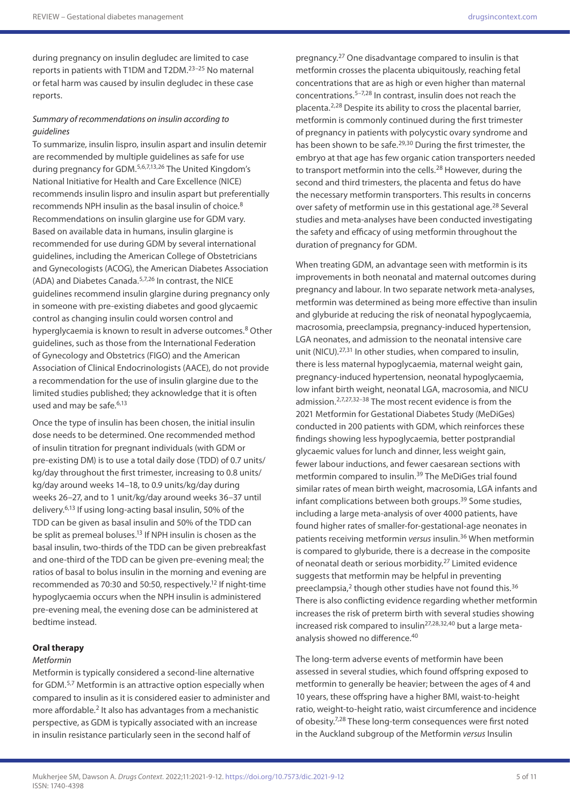during pregnancy on insulin degludec are limited to case reports in patients with T1DM and T2DM.23–25 No maternal or fetal harm was caused by insulin degludec in these case reports.

### *Summary of recommendations on insulin according to guidelines*

To summarize, insulin lispro, insulin aspart and insulin detemir are recommended by multiple guidelines as safe for use during pregnancy for GDM.5,6,7,13,26 The United Kingdom's National Initiative for Health and Care Excellence (NICE) recommends insulin lispro and insulin aspart but preferentially recommends NPH insulin as the basal insulin of choice.<sup>8</sup> Recommendations on insulin glargine use for GDM vary. Based on available data in humans, insulin glargine is recommended for use during GDM by several international guidelines, including the American College of Obstetricians and Gynecologists (ACOG), the American Diabetes Association (ADA) and Diabetes Canada.5,7,26 In contrast, the NICE guidelines recommend insulin glargine during pregnancy only in someone with pre-existing diabetes and good glycaemic control as changing insulin could worsen control and hyperglycaemia is known to result in adverse outcomes.<sup>8</sup> Other guidelines, such as those from the International Federation of Gynecology and Obstetrics (FIGO) and the American Association of Clinical Endocrinologists (AACE), do not provide a recommendation for the use of insulin glargine due to the limited studies published; they acknowledge that it is often used and may be safe.<sup>6,13</sup>

Once the type of insulin has been chosen, the initial insulin dose needs to be determined. One recommended method of insulin titration for pregnant individuals (with GDM or pre-existing DM) is to use a total daily dose (TDD) of 0.7 units/ kg/day throughout the first trimester, increasing to 0.8 units/ kg/day around weeks 14–18, to 0.9 units/kg/day during weeks 26–27, and to 1 unit/kg/day around weeks 36–37 until delivery.6,13 If using long-acting basal insulin, 50% of the TDD can be given as basal insulin and 50% of the TDD can be split as premeal boluses.<sup>13</sup> If NPH insulin is chosen as the basal insulin, two-thirds of the TDD can be given prebreakfast and one-third of the TDD can be given pre-evening meal; the ratios of basal to bolus insulin in the morning and evening are recommended as 70:30 and 50:50, respectively.12 If night-time hypoglycaemia occurs when the NPH insulin is administered pre-evening meal, the evening dose can be administered at bedtime instead.

#### **Oral therapy**

#### *Metformin*

Metformin is typically considered a second-line alternative for GDM.5,7 Metformin is an attractive option especially when compared to insulin as it is considered easier to administer and more affordable.2 It also has advantages from a mechanistic perspective, as GDM is typically associated with an increase in insulin resistance particularly seen in the second half of

pregnancy.27 One disadvantage compared to insulin is that metformin crosses the placenta ubiquitously, reaching fetal concentrations that are as high or even higher than maternal concentrations.5–7,28 In contrast, insulin does not reach the placenta.2,28 Despite its ability to cross the placental barrier, metformin is commonly continued during the first trimester of pregnancy in patients with polycystic ovary syndrome and has been shown to be safe.<sup>29,30</sup> During the first trimester, the embryo at that age has few organic cation transporters needed to transport metformin into the cells.<sup>28</sup> However, during the second and third trimesters, the placenta and fetus do have the necessary metformin transporters. This results in concerns over safety of metformin use in this gestational age.<sup>28</sup> Several studies and meta-analyses have been conducted investigating the safety and efficacy of using metformin throughout the duration of pregnancy for GDM.

When treating GDM, an advantage seen with metformin is its improvements in both neonatal and maternal outcomes during pregnancy and labour. In two separate network meta-analyses, metformin was determined as being more effective than insulin and glyburide at reducing the risk of neonatal hypoglycaemia, macrosomia, preeclampsia, pregnancy-induced hypertension, LGA neonates, and admission to the neonatal intensive care unit (NICU).27,31 In other studies, when compared to insulin, there is less maternal hypoglycaemia, maternal weight gain, pregnancy-induced hypertension, neonatal hypoglycaemia, low infant birth weight, neonatal LGA, macrosomia, and NICU admission.2,7,27,32–38 The most recent evidence is from the 2021 Metformin for Gestational Diabetes Study (MeDiGes) conducted in 200 patients with GDM, which reinforces these findings showing less hypoglycaemia, better postprandial glycaemic values for lunch and dinner, less weight gain, fewer labour inductions, and fewer caesarean sections with metformin compared to insulin.39 The MeDiGes trial found similar rates of mean birth weight, macrosomia, LGA infants and infant complications between both groups.<sup>39</sup> Some studies, including a large meta-analysis of over 4000 patients, have found higher rates of smaller-for-gestational-age neonates in patients receiving metformin *versus* insulin.36 When metformin is compared to glyburide, there is a decrease in the composite of neonatal death or serious morbidity.27 Limited evidence suggests that metformin may be helpful in preventing preeclampsia, $2$  though other studies have not found this.<sup>36</sup> There is also conflicting evidence regarding whether metformin increases the risk of preterm birth with several studies showing increased risk compared to insulin<sup>27,28,32,40</sup> but a large metaanalysis showed no difference.<sup>40</sup>

The long-term adverse events of metformin have been assessed in several studies, which found offspring exposed to metformin to generally be heavier; between the ages of 4 and 10 years, these offspring have a higher BMI, waist-to-height ratio, weight-to-height ratio, waist circumference and incidence of obesity.7,28 These long-term consequences were first noted in the Auckland subgroup of the Metformin *versus* Insulin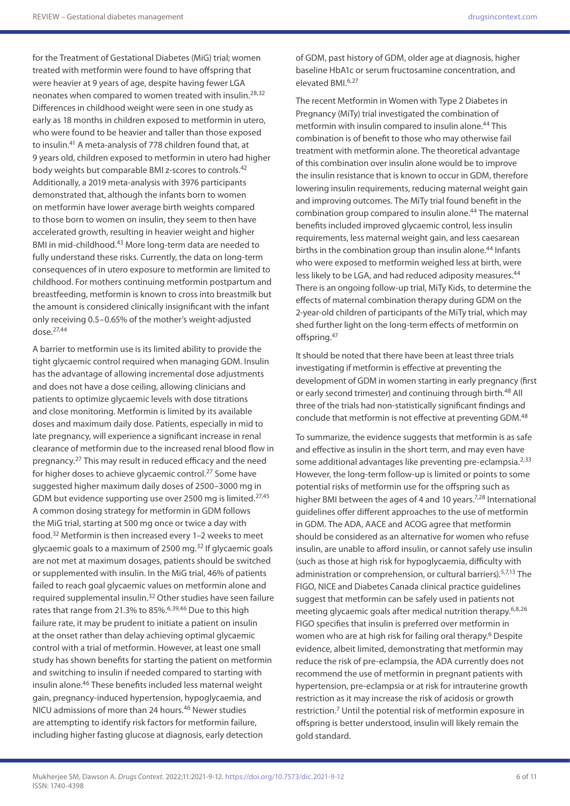for the Treatment of Gestational Diabetes (MiG) trial; women treated with metformin were found to have offspring that were heavier at 9 years of age, despite having fewer LGA neonates when compared to women treated with insulin.28,32 Differences in childhood weight were seen in one study as early as 18 months in children exposed to metformin in utero, who were found to be heavier and taller than those exposed to insulin.41 A meta-analysis of 778 children found that, at 9 years old, children exposed to metformin in utero had higher body weights but comparable BMI z-scores to controls.42 Additionally, a 2019 meta-analysis with 3976 participants demonstrated that, although the infants born to women on metformin have lower average birth weights compared to those born to women on insulin, they seem to then have accelerated growth, resulting in heavier weight and higher BMI in mid-childhood.43 More long-term data are needed to fully understand these risks. Currently, the data on long-term consequences of in utero exposure to metformin are limited to childhood. For mothers continuing metformin postpartum and breastfeeding, metformin is known to cross into breastmilk but the amount is considered clinically insignificant with the infant only receiving 0.5–0.65% of the mother's weight-adjusted dose.27,44

A barrier to metformin use is its limited ability to provide the tight glycaemic control required when managing GDM. Insulin has the advantage of allowing incremental dose adjustments and does not have a dose ceiling, allowing clinicians and patients to optimize glycaemic levels with dose titrations and close monitoring. Metformin is limited by its available doses and maximum daily dose. Patients, especially in mid to late pregnancy, will experience a significant increase in renal clearance of metformin due to the increased renal blood flow in pregnancy.27 This may result in reduced efficacy and the need for higher doses to achieve glycaemic control.<sup>27</sup> Some have suggested higher maximum daily doses of 2500–3000 mg in GDM but evidence supporting use over 2500 mg is limited.<sup>27,45</sup> A common dosing strategy for metformin in GDM follows the MiG trial, starting at 500 mg once or twice a day with food.32 Metformin is then increased every 1–2 weeks to meet glycaemic goals to a maximum of 2500 mg.<sup>32</sup> If glycaemic goals are not met at maximum dosages, patients should be switched or supplemented with insulin. In the MiG trial, 46% of patients failed to reach goal glycaemic values on metformin alone and required supplemental insulin.32 Other studies have seen failure rates that range from 21.3% to 85%.6,39,46 Due to this high failure rate, it may be prudent to initiate a patient on insulin at the onset rather than delay achieving optimal glycaemic control with a trial of metformin. However, at least one small study has shown benefits for starting the patient on metformin and switching to insulin if needed compared to starting with insulin alone.46 These benefits included less maternal weight gain, pregnancy-induced hypertension, hypoglycaemia, and NICU admissions of more than 24 hours.<sup>46</sup> Newer studies are attempting to identify risk factors for metformin failure, including higher fasting glucose at diagnosis, early detection

of GDM, past history of GDM, older age at diagnosis, higher baseline HbA1c or serum fructosamine concentration, and elevated BMI.6,27

The recent Metformin in Women with Type 2 Diabetes in Pregnancy (MiTy) trial investigated the combination of metformin with insulin compared to insulin alone.<sup>44</sup> This combination is of benefit to those who may otherwise fail treatment with metformin alone. The theoretical advantage of this combination over insulin alone would be to improve the insulin resistance that is known to occur in GDM, therefore lowering insulin requirements, reducing maternal weight gain and improving outcomes. The MiTy trial found benefit in the combination group compared to insulin alone.<sup>44</sup> The maternal benefits included improved glycaemic control, less insulin requirements, less maternal weight gain, and less caesarean births in the combination group than insulin alone.<sup>44</sup> Infants who were exposed to metformin weighed less at birth, were less likely to be LGA, and had reduced adiposity measures.<sup>44</sup> There is an ongoing follow-up trial, MiTy Kids, to determine the effects of maternal combination therapy during GDM on the 2-year-old children of participants of the MiTy trial, which may shed further light on the long-term effects of metformin on offspring.47

It should be noted that there have been at least three trials investigating if metformin is effective at preventing the development of GDM in women starting in early pregnancy (first or early second trimester) and continuing through birth.48 All three of the trials had non-statistically significant findings and conclude that metformin is not effective at preventing GDM.48

To summarize, the evidence suggests that metformin is as safe and effective as insulin in the short term, and may even have some additional advantages like preventing pre-eclampsia.<sup>2,33</sup> However, the long-term follow-up is limited or points to some potential risks of metformin use for the offspring such as higher BMI between the ages of 4 and 10 years.<sup>7,28</sup> International guidelines offer different approaches to the use of metformin in GDM. The ADA, AACE and ACOG agree that metformin should be considered as an alternative for women who refuse insulin, are unable to afford insulin, or cannot safely use insulin (such as those at high risk for hypoglycaemia, difficulty with administration or comprehension, or cultural barriers).<sup>5,7,13</sup> The FIGO, NICE and Diabetes Canada clinical practice guidelines suggest that metformin can be safely used in patients not meeting glycaemic goals after medical nutrition therapy.6,8,26 FIGO specifies that insulin is preferred over metformin in women who are at high risk for failing oral therapy.<sup>6</sup> Despite evidence, albeit limited, demonstrating that metformin may reduce the risk of pre-eclampsia, the ADA currently does not recommend the use of metformin in pregnant patients with hypertension, pre-eclampsia or at risk for intrauterine growth restriction as it may increase the risk of acidosis or growth restriction.<sup>7</sup> Until the potential risk of metformin exposure in offspring is better understood, insulin will likely remain the gold standard.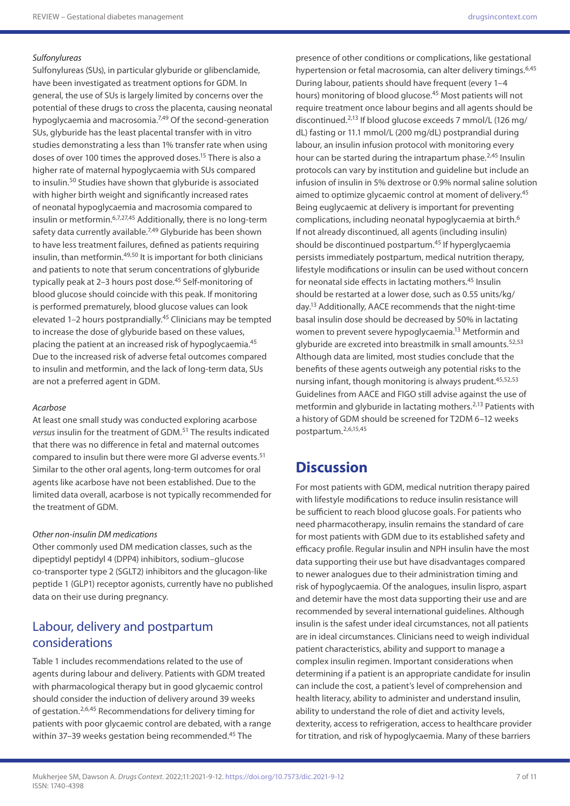### *Sulfonylureas*

Sulfonylureas (SUs), in particular glyburide or glibenclamide, have been investigated as treatment options for GDM. In general, the use of SUs is largely limited by concerns over the potential of these drugs to cross the placenta, causing neonatal hypoglycaemia and macrosomia.<sup>7,49</sup> Of the second-generation SUs, glyburide has the least placental transfer with in vitro studies demonstrating a less than 1% transfer rate when using doses of over 100 times the approved doses.15 There is also a higher rate of maternal hypoglycaemia with SUs compared to insulin.50 Studies have shown that glyburide is associated with higher birth weight and significantly increased rates of neonatal hypoglycaemia and macrosomia compared to insulin or metformin.<sup>6,7,27,45</sup> Additionally, there is no long-term safety data currently available.<sup>7,49</sup> Glyburide has been shown to have less treatment failures, defined as patients requiring insulin, than metformin.<sup>49,50</sup> It is important for both clinicians and patients to note that serum concentrations of glyburide typically peak at 2–3 hours post dose.<sup>45</sup> Self-monitoring of blood glucose should coincide with this peak. If monitoring is performed prematurely, blood glucose values can look elevated 1–2 hours postprandially.<sup>45</sup> Clinicians may be tempted to increase the dose of glyburide based on these values, placing the patient at an increased risk of hypoglycaemia.45 Due to the increased risk of adverse fetal outcomes compared to insulin and metformin, and the lack of long-term data, SUs are not a preferred agent in GDM.

#### *Acarbose*

At least one small study was conducted exploring acarbose *versus* insulin for the treatment of GDM.51 The results indicated that there was no difference in fetal and maternal outcomes compared to insulin but there were more GI adverse events.<sup>51</sup> Similar to the other oral agents, long-term outcomes for oral agents like acarbose have not been established. Due to the limited data overall, acarbose is not typically recommended for the treatment of GDM.

#### *Other non-insulin DM medications*

Other commonly used DM medication classes, such as the dipeptidyl peptidyl 4 (DPP4) inhibitors, sodium–glucose co-transporter type 2 (SGLT2) inhibitors and the glucagon-like peptide 1 (GLP1) receptor agonists, currently have no published data on their use during pregnancy.

# Labour, delivery and postpartum considerations

Table 1 includes recommendations related to the use of agents during labour and delivery. Patients with GDM treated with pharmacological therapy but in good glycaemic control should consider the induction of delivery around 39 weeks of gestation.2,6,45 Recommendations for delivery timing for patients with poor glycaemic control are debated, with a range within 37-39 weeks gestation being recommended.<sup>45</sup> The

presence of other conditions or complications, like gestational hypertension or fetal macrosomia, can alter delivery timings.<sup>6,45</sup> During labour, patients should have frequent (every 1–4 hours) monitoring of blood glucose.45 Most patients will not require treatment once labour begins and all agents should be discontinued.2,13 If blood glucose exceeds 7 mmol/L (126 mg/ dL) fasting or 11.1 mmol/L (200 mg/dL) postprandial during labour, an insulin infusion protocol with monitoring every hour can be started during the intrapartum phase. $2,45$  Insulin protocols can vary by institution and guideline but include an infusion of insulin in 5% dextrose or 0.9% normal saline solution aimed to optimize glycaemic control at moment of delivery.<sup>45</sup> Being euglycaemic at delivery is important for preventing complications, including neonatal hypoglycaemia at birth.6 If not already discontinued, all agents (including insulin) should be discontinued postpartum.45 If hyperglycaemia persists immediately postpartum, medical nutrition therapy, lifestyle modifications or insulin can be used without concern for neonatal side effects in lactating mothers.<sup>45</sup> Insulin should be restarted at a lower dose, such as 0.55 units/kg/ day.13 Additionally, AACE recommends that the night-time basal insulin dose should be decreased by 50% in lactating women to prevent severe hypoglycaemia.13 Metformin and glyburide are excreted into breastmilk in small amounts.52,53 Although data are limited, most studies conclude that the benefits of these agents outweigh any potential risks to the nursing infant, though monitoring is always prudent.<sup>45,52,53</sup> Guidelines from AACE and FIGO still advise against the use of metformin and glyburide in lactating mothers.2,13 Patients with a history of GDM should be screened for T2DM 6–12 weeks postpartum.2,6,15,45

# **Discussion**

For most patients with GDM, medical nutrition therapy paired with lifestyle modifications to reduce insulin resistance will be sufficient to reach blood glucose goals. For patients who need pharmacotherapy, insulin remains the standard of care for most patients with GDM due to its established safety and efficacy profile. Regular insulin and NPH insulin have the most data supporting their use but have disadvantages compared to newer analogues due to their administration timing and risk of hypoglycaemia. Of the analogues, insulin lispro, aspart and detemir have the most data supporting their use and are recommended by several international guidelines. Although insulin is the safest under ideal circumstances, not all patients are in ideal circumstances. Clinicians need to weigh individual patient characteristics, ability and support to manage a complex insulin regimen. Important considerations when determining if a patient is an appropriate candidate for insulin can include the cost, a patient's level of comprehension and health literacy, ability to administer and understand insulin, ability to understand the role of diet and activity levels, dexterity, access to refrigeration, access to healthcare provider for titration, and risk of hypoglycaemia. Many of these barriers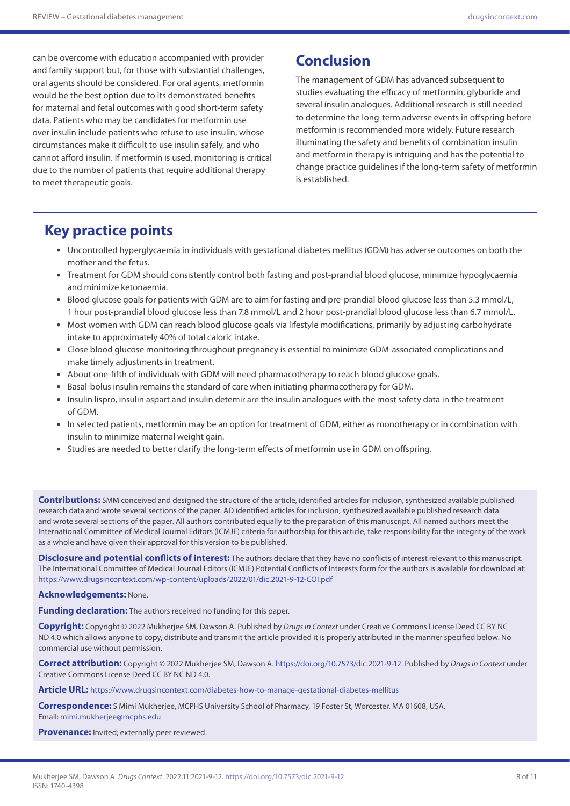can be overcome with education accompanied with provider and family support but, for those with substantial challenges, oral agents should be considered. For oral agents, metformin would be the best option due to its demonstrated benefits for maternal and fetal outcomes with good short-term safety data. Patients who may be candidates for metformin use over insulin include patients who refuse to use insulin, whose circumstances make it difficult to use insulin safely, and who cannot afford insulin. If metformin is used, monitoring is critical due to the number of patients that require additional therapy to meet therapeutic goals.

# **Conclusion**

The management of GDM has advanced subsequent to studies evaluating the efficacy of metformin, glyburide and several insulin analogues. Additional research is still needed to determine the long-term adverse events in offspring before metformin is recommended more widely. Future research illuminating the safety and benefits of combination insulin and metformin therapy is intriguing and has the potential to change practice guidelines if the long-term safety of metformin is established.

# **Key practice points**

- Uncontrolled hyperglycaemia in individuals with gestational diabetes mellitus (GDM) has adverse outcomes on both the mother and the fetus.
- Treatment for GDM should consistently control both fasting and post-prandial blood glucose, minimize hypoglycaemia and minimize ketonaemia.
- Blood glucose goals for patients with GDM are to aim for fasting and pre-prandial blood glucose less than 5.3 mmol/L, 1 hour post-prandial blood glucose less than 7.8 mmol/L and 2 hour post-prandial blood glucose less than 6.7 mmol/L.
- Most women with GDM can reach blood glucose goals via lifestyle modifications, primarily by adjusting carbohydrate intake to approximately 40% of total caloric intake.
- Close blood glucose monitoring throughout pregnancy is essential to minimize GDM-associated complications and make timely adjustments in treatment.
- About one-fifth of individuals with GDM will need pharmacotherapy to reach blood glucose goals.
- Basal-bolus insulin remains the standard of care when initiating pharmacotherapy for GDM.
- Insulin lispro, insulin aspart and insulin detemir are the insulin analogues with the most safety data in the treatment of GDM.
- In selected patients, metformin may be an option for treatment of GDM, either as monotherapy or in combination with insulin to minimize maternal weight gain.
- Studies are needed to better clarify the long-term effects of metformin use in GDM on offspring.

**Contributions:** SMM conceived and designed the structure of the article, identified articles for inclusion, synthesized available published research data and wrote several sections of the paper. AD identified articles for inclusion, synthesized available published research data and wrote several sections of the paper. All authors contributed equally to the preparation of this manuscript. All named authors meet the International Committee of Medical Journal Editors (ICMJE) criteria for authorship for this article, take responsibility for the integrity of the work as a whole and have given their approval for this version to be published.

**Disclosure and potential conflicts of interest:** The authors declare that they have no conflicts of interest relevant to this manuscript. The International Committee of Medical Journal Editors (ICMJE) Potential Conflicts of Interests form for the authors is available for download at: <https://www.drugsincontext.com/wp-content/uploads/2022/01/dic.2021-9-12-COI.pdf>

### **Acknowledgements:** None.

**Funding declaration:** The authors received no funding for this paper.

**Copyright:** Copyright © 2022 Mukherjee SM, Dawson A. Published by *Drugs in Context* under Creative Commons License Deed CC BY NC ND 4.0 which allows anyone to copy, distribute and transmit the article provided it is properly attributed in the manner specified below. No commercial use without permission.

**Correct attribution:** Copyright © 2022 Mukherjee SM, Dawson A. <https://doi.org/10.7573/dic.2021-9-12>. Published by *Drugs in Context* under Creative Commons License Deed CC BY NC ND 4.0.

**Article URL:** <https://www.drugsincontext.com/diabetes-how-to-manage-gestational-diabetes-mellitus>

**Correspondence:** S Mimi Mukherjee, MCPHS University School of Pharmacy, 19 Foster St, Worcester, MA 01608, USA. Email: [mimi.mukherjee@mcphs.edu](mailto:mimi.mukherjee@mcphs.edu)

**Provenance:** Invited; externally peer reviewed.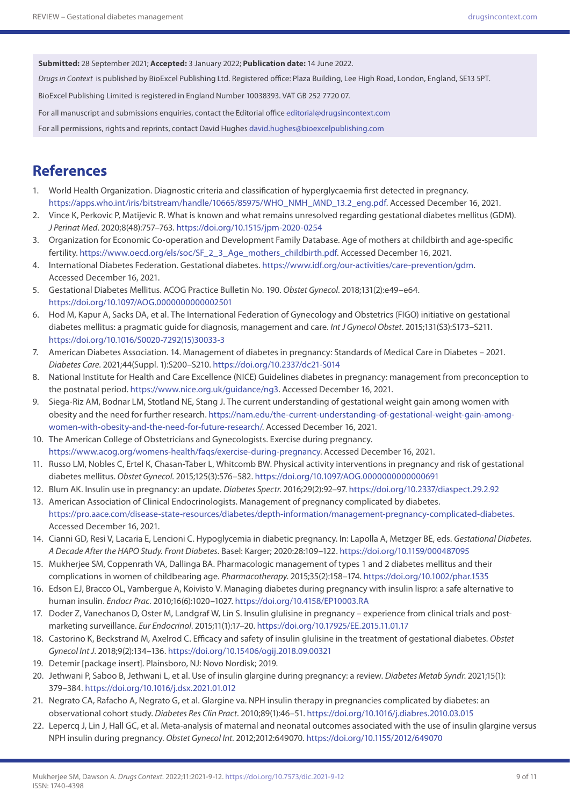**Submitted:** 28 September 2021; **Accepted:** 3 January 2022; **Publication date:** 14 June 2022.

*Drugs in Context* is published by BioExcel Publishing Ltd. Registered office: Plaza Building, Lee High Road, London, England, SE13 5PT.

BioExcel Publishing Limited is registered in England Number 10038393. VAT GB 252 7720 07.

For all manuscript and submissions enquiries, contact the Editorial office [editorial@drugsincontext.com](mailto:editorial@drugsincontext.com)

For all permissions, rights and reprints, contact David Hughes [david.hughes@bioexcelpublishing.com](mailto:david.hughes@bioexcelpublishing.com)

# **References**

- 1. World Health Organization. Diagnostic criteria and classification of hyperglycaemia first detected in pregnancy. [https://apps.who.int/iris/bitstream/handle/10665/85975/WHO\\_NMH\\_MND\\_13.2\\_eng.pdf](https://apps.who.int/iris/bitstream/handle/10665/85975/WHO_NMH_MND_13.2_eng.pdf). Accessed December 16, 2021.
- 2. Vince K, Perkovic P, Matijevic R. What is known and what remains unresolved regarding gestational diabetes mellitus (GDM). *J Perinat Med*. 2020;8(48):757–763.<https://doi.org/10.1515/jpm-2020-0254>
- 3. Organization for Economic Co-operation and Development Family Database. Age of mothers at childbirth and age-specific fertility. [https://www.oecd.org/els/soc/SF\\_2\\_3\\_Age\\_mothers\\_childbirth.pdf](https://www.oecd.org/els/soc/SF_2_3_Age_mothers_childbirth.pdf). Accessed December 16, 2021.
- 4. International Diabetes Federation. Gestational diabetes. [https://www.idf.org/our-activities/care-prevention/gdm.](https://www.idf.org/our-activities/care-prevention/gdm) Accessed December 16, 2021.
- 5. Gestational Diabetes Mellitus. ACOG Practice Bulletin No. 190. *Obstet Gynecol*. 2018;131(2):e49–e64. <https://doi.org/10.1097/AOG.0000000000002501>
- 6. Hod M, Kapur A, Sacks DA, et al. The International Federation of Gynecology and Obstetrics (FIGO) initiative on gestational diabetes mellitus: a pragmatic guide for diagnosis, management and care. *Int J Gynecol Obstet*. 2015;131(S3):S173–S211. [https://doi.org/10.1016/S0020-7292\(15\)30033-3](https://doi.org/10.1016/S0020-7292(15)30033-3)
- 7. American Diabetes Association. 14. Management of diabetes in pregnancy: Standards of Medical Care in Diabetes 2021. *Diabetes Care*. 2021;44(Suppl. 1):S200–S210. <https://doi.org/10.2337/dc21-S014>
- 8. National Institute for Health and Care Excellence (NICE) Guidelines diabetes in pregnancy: management from preconception to the postnatal period. [https://www.nice.org.uk/guidance/ng3.](https://www.nice.org.uk/guidance/ng3) Accessed December 16, 2021.
- 9. Siega-Riz AM, Bodnar LM, Stotland NE, Stang J. The current understanding of gestational weight gain among women with obesity and the need for further research. [https://nam.edu/the-current-understanding-of-gestational-weight-gain-among](https://nam.edu/the-current-understanding-of-gestational-weight-gain-among-women-with-obesity-and-the-need-for-future-research/)[women-with-obesity-and-the-need-for-future-research](https://nam.edu/the-current-understanding-of-gestational-weight-gain-among-women-with-obesity-and-the-need-for-future-research/)/. Accessed December 16, 2021.
- 10. The American College of Obstetricians and Gynecologists. Exercise during pregnancy. [https://www.acog.org/womens-health/faqs/exercise-during-pregnancy.](https://www.acog.org/womens-health/faqs/exercise-during-pregnancy) Accessed December 16, 2021.
- 11. Russo LM, Nobles C, Ertel K, Chasan-Taber L, Whitcomb BW. Physical activity interventions in pregnancy and risk of gestational diabetes mellitus. *Obstet Gynecol*. 2015;125(3):576–582.<https://doi.org/10.1097/AOG.0000000000000691>
- 12. Blum AK. Insulin use in pregnancy: an update. *Diabetes Spectr*. 2016;29(2):92–97. <https://doi.org/10.2337/diaspect.29.2.92>
- 13. American Association of Clinical Endocrinologists. Management of pregnancy complicated by diabetes. [https://pro.aace.com/disease-state-resources/diabetes/depth-information/management-pregnancy-complicated-diabetes.](https://pro.aace.com/disease-state-resources/diabetes/depth-information/management-pregnancy-complicated-diabetes) Accessed December 16, 2021.
- 14. Cianni GD, Resi V, Lacaria E, Lencioni C. Hypoglycemia in diabetic pregnancy. In: Lapolla A, Metzger BE, eds. *Gestational Diabetes. A Decade After the HAPO Study. Front Diabetes*. Basel: Karger; 2020:28:109–122. <https://doi.org/10.1159/000487095>
- 15. Mukherjee SM, Coppenrath VA, Dallinga BA. Pharmacologic management of types 1 and 2 diabetes mellitus and their complications in women of childbearing age. *Pharmacotherapy*. 2015;35(2):158–174. <https://doi.org/10.1002/phar.1535>
- 16. Edson EJ, Bracco OL, Vambergue A, Koivisto V. Managing diabetes during pregnancy with insulin lispro: a safe alternative to human insulin. *Endocr Prac*. 2010;16(6):1020–1027. <https://doi.org/10.4158/EP10003.RA>
- 17. Doder Z, Vanechanos D, Oster M, Landgraf W, Lin S. Insulin glulisine in pregnancy experience from clinical trials and postmarketing surveillance. *Eur Endocrinol*. 2015;11(1):17–20. <https://doi.org/10.17925/EE.2015.11.01.17>
- 18. Castorino K, Beckstrand M, Axelrod C. Efficacy and safety of insulin glulisine in the treatment of gestational diabetes. *Obstet Gynecol Int J*. 2018;9(2):134–136. <https://doi.org/10.15406/ogij.2018.09.00321>
- 19. Detemir [package insert]. Plainsboro, NJ: Novo Nordisk; 2019.
- 20. Jethwani P, Saboo B, Jethwani L, et al. Use of insulin glargine during pregnancy: a review. *Diabetes Metab Syndr*. 2021;15(1): 379–384. <https://doi.org/10.1016/j.dsx.2021.01.012>
- 21. Negrato CA, Rafacho A, Negrato G, et al. Glargine va. NPH insulin therapy in pregnancies complicated by diabetes: an observational cohort study. *Diabetes Res Clin Pract*. 2010;89(1):46–51. <https://doi.org/10.1016/j.diabres.2010.03.015>
- 22. Lepercq J, Lin J, Hall GC, et al. Meta-analysis of maternal and neonatal outcomes associated with the use of insulin glargine versus NPH insulin during pregnancy. *Obstet Gynecol Int*. 2012;2012:649070.<https://doi.org/10.1155/2012/649070>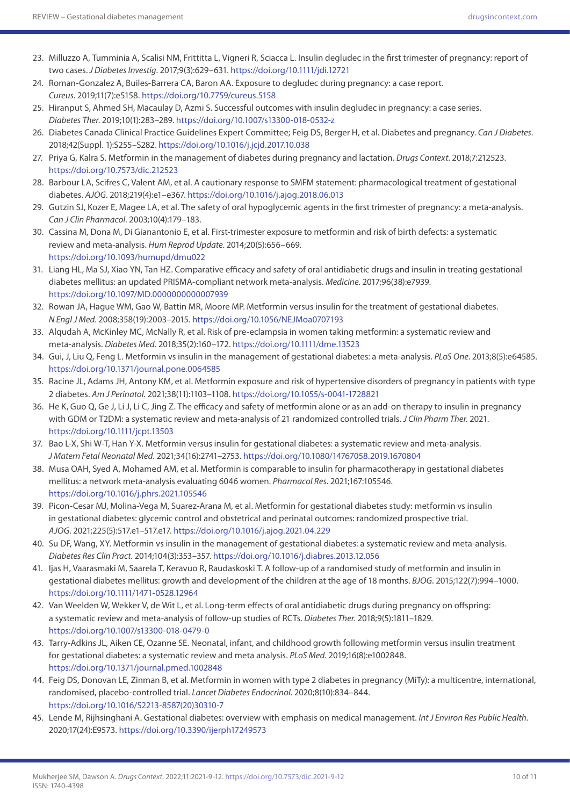- 23. Milluzzo A, Tumminia A, Scalisi NM, Frittitta L, Vigneri R, Sciacca L. Insulin degludec in the first trimester of pregnancy: report of two cases. *J Diabetes Investig*. 2017;9(3):629–631.<https://doi.org/10.1111/jdi.12721>
- 24. Roman-Gonzalez A, Builes-Barrera CA, Baron AA. Exposure to degludec during pregnancy: a case report. *Cureus*. 2019;11(7):e5158.<https://doi.org/10.7759/cureus.5158>
- 25. Hiranput S, Ahmed SH, Macaulay D, Azmi S. Successful outcomes with insulin degludec in pregnancy: a case series. *Diabetes Ther*. 2019;10(1):283–289.<https://doi.org/10.1007/s13300-018-0532-z>
- 26. Diabetes Canada Clinical Practice Guidelines Expert Committee; Feig DS, Berger H, et al. Diabetes and pregnancy. *Can J Diabetes*. 2018;42(Suppl. 1):S255–S282. <https://doi.org/10.1016/j.jcjd.2017.10.038>
- 27. Priya G, Kalra S. Metformin in the management of diabetes during pregnancy and lactation. *Drugs Context*. 2018;7:212523. <https://doi.org/10.7573/dic.212523>
- 28. Barbour LA, Scifres C, Valent AM, et al. A cautionary response to SMFM statement: pharmacological treatment of gestational diabetes. *AJOG*. 2018;219(4):e1–e367.<https://doi.org/10.1016/j.ajog.2018.06.013>
- 29. Gutzin SJ, Kozer E, Magee LA, et al. The safety of oral hypoglycemic agents in the first trimester of pregnancy: a meta-analysis. *Can J Clin Pharmacol*. 2003;10(4):179–183.
- 30. Cassina M, Dona M, Di Gianantonio E, et al. First-trimester exposure to metformin and risk of birth defects: a systematic review and meta-analysis. *Hum Reprod Update*. 2014;20(5):656–669. <https://doi.org/10.1093/humupd/dmu022>
- 31. Liang HL, Ma SJ, Xiao YN, Tan HZ. Comparative efficacy and safety of oral antidiabetic drugs and insulin in treating gestational diabetes mellitus: an updated PRISMA-compliant network meta-analysis. *Medicine*. 2017;96(38):e7939. <https://doi.org/10.1097/MD.0000000000007939>
- 32. Rowan JA, Hague WM, Gao W, Battin MR, Moore MP. Metformin versus insulin for the treatment of gestational diabetes. *N Engl J Med*. 2008;358(19):2003–2015. <https://doi.org/10.1056/NEJMoa0707193>
- 33. Alqudah A, McKinley MC, McNally R, et al. Risk of pre-eclampsia in women taking metformin: a systematic review and meta-analysis. *Diabetes Med*. 2018;35(2):160–172.<https://doi.org/10.1111/dme.13523>
- 34. Gui, J, Liu Q, Feng L. Metformin vs insulin in the management of gestational diabetes: a meta-analysis. *PLoS One*. 2013;8(5):e64585. <https://doi.org/10.1371/journal.pone.0064585>
- 35. Racine JL, Adams JH, Antony KM, et al. Metformin exposure and risk of hypertensive disorders of pregnancy in patients with type 2 diabetes. *Am J Perinatol*. 2021;38(11):1103–1108. <https://doi.org/10.1055/s-0041-1728821>
- 36. He K, Guo Q, Ge J, Li J, Li C, Jing Z. The efficacy and safety of metformin alone or as an add-on therapy to insulin in pregnancy with GDM or T2DM: a systematic review and meta-analysis of 21 randomized controlled trials. *J Clin Pharm Ther*. 2021. <https://doi.org/10.1111/jcpt.13503>
- 37. Bao L-X, Shi W-T, Han Y-X. Metformin versus insulin for gestational diabetes: a systematic review and meta-analysis. *J Matern Fetal Neonatal Med*. 2021;34(16):2741–2753.<https://doi.org/10.1080/14767058.2019.1670804>
- 38. Musa OAH, Syed A, Mohamed AM, et al. Metformin is comparable to insulin for pharmacotherapy in gestational diabetes mellitus: a network meta-analysis evaluating 6046 women. *Pharmacol Res*. 2021;167:105546. <https://doi.org/10.1016/j.phrs.2021.105546>
- 39. Picon-Cesar MJ, Molina-Vega M, Suarez-Arana M, et al. Metformin for gestational diabetes study: metformin vs insulin in gestational diabetes: glycemic control and obstetrical and perinatal outcomes: randomized prospective trial. *AJOG*. 2021;225(5):517.e1–517.e17.<https://doi.org/10.1016/j.ajog.2021.04.229>
- 40. Su DF, Wang, XY. Metformin vs insulin in the management of gestational diabetes: a systematic review and meta-analysis. *Diabetes Res Clin Pract*. 2014;104(3):353–357. <https://doi.org/10.1016/j.diabres.2013.12.056>
- 41. Ijas H, Vaarasmaki M, Saarela T, Keravuo R, Raudaskoski T. A follow-up of a randomised study of metformin and insulin in gestational diabetes mellitus: growth and development of the children at the age of 18 months. *BJOG*. 2015;122(7):994–1000. <https://doi.org/10.1111/1471-0528.12964>
- 42. Van Weelden W, Wekker V, de Wit L, et al. Long-term effects of oral antidiabetic drugs during pregnancy on offspring: a systematic review and meta-analysis of follow-up studies of RCTs. *Diabetes Ther*. 2018;9(5):1811–1829. <https://doi.org/10.1007/s13300-018-0479-0>
- 43. Tarry-Adkins JL, Aiken CE, Ozanne SE. Neonatal, infant, and childhood growth following metformin versus insulin treatment for gestational diabetes: a systematic review and meta analysis. *PLoS Med*. 2019;16(8):e1002848. <https://doi.org/10.1371/journal.pmed.1002848>
- 44. Feig DS, Donovan LE, Zinman B, et al. Metformin in women with type 2 diabetes in pregnancy (MiTy): a multicentre, international, randomised, placebo-controlled trial. *Lancet Diabetes Endocrinol*. 2020;8(10):834–844. [https://doi.org/10.1016/S2213-8587\(20\)30310-7](https://doi.org/10.1016/S2213-8587(20)30310-7)
- 45. Lende M, Rijhsinghani A. Gestational diabetes: overview with emphasis on medical management. *Int J Environ Res Public Health*. 2020;17(24):E9573.<https://doi.org/10.3390/ijerph17249573>